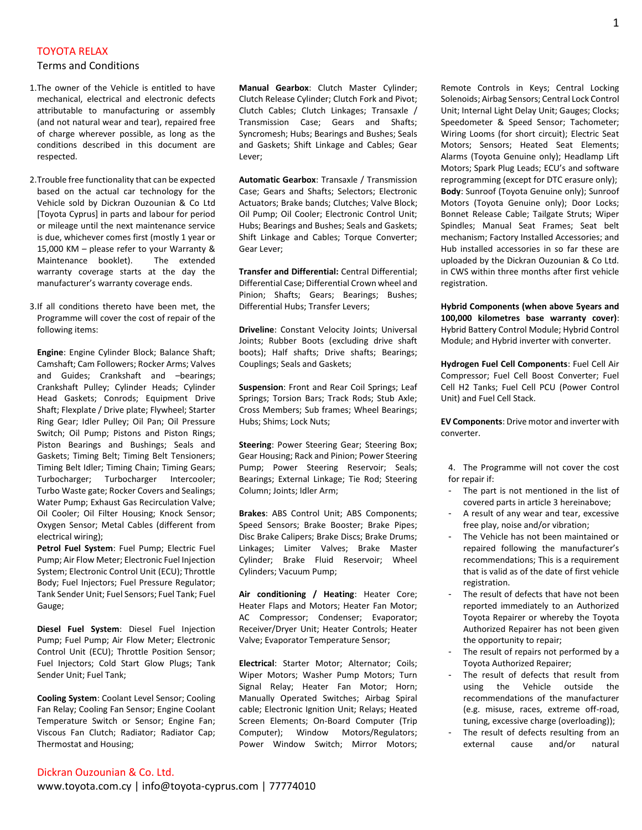## TOYOTA RELAX

## Terms and Conditions

- 1.The owner of the Vehicle is entitled to have mechanical, electrical and electronic defects attributable to manufacturing or assembly (and not natural wear and tear), repaired free of charge wherever possible, as long as the conditions described in this document are respected.
- 2.Trouble free functionality that can be expected based on the actual car technology for the Vehicle sold by Dickran Ouzounian & Co Ltd [Toyota Cyprus] in parts and labour for period or mileage until the next maintenance service is due, whichever comes first (mostly 1 year or 15,000 KM – please refer to your Warranty & Maintenance booklet). The extended warranty coverage starts at the day the manufacturer's warranty coverage ends.
- 3.If all conditions thereto have been met, the Programme will cover the cost of repair of the following items:

**Engine**: Engine Cylinder Block; Balance Shaft; Camshaft; Cam Followers; Rocker Arms; Valves and Guides; Crankshaft and –bearings; Crankshaft Pulley; Cylinder Heads; Cylinder Head Gaskets; Conrods; Equipment Drive Shaft; Flexplate / Drive plate; Flywheel; Starter Ring Gear; Idler Pulley; Oil Pan; Oil Pressure Switch; Oil Pump; Pistons and Piston Rings; Piston Bearings and Bushings; Seals and Gaskets; Timing Belt; Timing Belt Tensioners; Timing Belt Idler; Timing Chain; Timing Gears; Turbocharger; Turbocharger Intercooler; Turbo Waste gate; Rocker Covers and Sealings; Water Pump; Exhaust Gas Recirculation Valve; Oil Cooler; Oil Filter Housing; Knock Sensor; Oxygen Sensor; Metal Cables (different from electrical wiring);

**Petrol Fuel System**: Fuel Pump; Electric Fuel Pump; Air Flow Meter; Electronic Fuel Injection System; Electronic Control Unit (ECU); Throttle Body; Fuel Injectors; Fuel Pressure Regulator; Tank Sender Unit; Fuel Sensors; Fuel Tank; Fuel Gauge;

**Diesel Fuel System**: Diesel Fuel Injection Pump; Fuel Pump; Air Flow Meter; Electronic Control Unit (ECU); Throttle Position Sensor; Fuel Injectors; Cold Start Glow Plugs; Tank Sender Unit; Fuel Tank;

**Cooling System**: Coolant Level Sensor; Cooling Fan Relay; Cooling Fan Sensor; Engine Coolant Temperature Switch or Sensor; Engine Fan; Viscous Fan Clutch; Radiator; Radiator Cap; Thermostat and Housing;

**Manual Gearbox**: Clutch Master Cylinder; Clutch Release Cylinder; Clutch Fork and Pivot; Clutch Cables; Clutch Linkages; Transaxle / Transmission Case; Gears and Shafts; Syncromesh; Hubs; Bearings and Bushes; Seals and Gaskets; Shift Linkage and Cables; Gear Lever;

**Automatic Gearbox**: Transaxle / Transmission Case; Gears and Shafts; Selectors; Electronic Actuators; Brake bands; Clutches; Valve Block; Oil Pump; Oil Cooler; Electronic Control Unit; Hubs; Bearings and Bushes; Seals and Gaskets; Shift Linkage and Cables; Torque Converter; Gear Lever;

**Transfer and Differential:** Central Differential; Differential Case; Differential Crown wheel and Pinion; Shafts; Gears; Bearings; Bushes; Differential Hubs; Transfer Levers;

**Driveline**: Constant Velocity Joints; Universal Joints; Rubber Boots (excluding drive shaft boots); Half shafts; Drive shafts; Bearings; Couplings; Seals and Gaskets;

**Suspension**: Front and Rear Coil Springs; Leaf Springs; Torsion Bars; Track Rods; Stub Axle; Cross Members; Sub frames; Wheel Bearings; Hubs; Shims; Lock Nuts;

**Steering**: Power Steering Gear; Steering Box; Gear Housing; Rack and Pinion; Power Steering Pump; Power Steering Reservoir; Seals; Bearings; External Linkage; Tie Rod; Steering Column; Joints; Idler Arm;

**Brakes**: ABS Control Unit; ABS Components; Speed Sensors; Brake Booster; Brake Pipes; Disc Brake Calipers; Brake Discs; Brake Drums; Linkages; Limiter Valves; Brake Master Cylinder; Brake Fluid Reservoir; Wheel Cylinders; Vacuum Pump;

**Air conditioning / Heating**: Heater Core; Heater Flaps and Motors; Heater Fan Motor; AC Compressor; Condenser; Evaporator; Receiver/Dryer Unit; Heater Controls; Heater Valve; Evaporator Temperature Sensor;

**Electrical**: Starter Motor; Alternator; Coils; Wiper Motors; Washer Pump Motors; Turn Signal Relay; Heater Fan Motor; Horn; Manually Operated Switches; Airbag Spiral cable; Electronic Ignition Unit; Relays; Heated Screen Elements; On-Board Computer (Trip Computer); Window Motors/Regulators; Power Window Switch; Mirror Motors; Remote Controls in Keys; Central Locking Solenoids; Airbag Sensors; Central Lock Control Unit; Internal Light Delay Unit; Gauges; Clocks; Speedometer & Speed Sensor; Tachometer; Wiring Looms (for short circuit); Electric Seat Motors; Sensors; Heated Seat Elements; Alarms (Toyota Genuine only); Headlamp Lift Motors; Spark Plug Leads; ECU's and software reprogramming (except for DTC erasure only); **Body**: Sunroof (Toyota Genuine only); Sunroof Motors (Toyota Genuine only); Door Locks; Bonnet Release Cable; Tailgate Struts; Wiper Spindles; Manual Seat Frames; Seat belt mechanism; Factory Installed Accessories; and Hub installed accessories in so far these are uploaded by the Dickran Ouzounian & Co Ltd. in CWS within three months after first vehicle registration.

**Hybrid Components (when above 5years and 100,000 kilometres base warranty cover)**: Hybrid Battery Control Module; Hybrid Control Module; and Hybrid inverter with converter.

**Hydrogen Fuel Cell Components**: Fuel Cell Air Compressor; Fuel Cell Boost Converter; Fuel Cell H2 Tanks; Fuel Cell PCU (Power Control Unit) and Fuel Cell Stack.

**EV Components**: Drive motor and inverter with converter.

4. The Programme will not cover the cost for repair if:

- The part is not mentioned in the list of covered parts in article 3 hereinabove;
- A result of any wear and tear, excessive free play, noise and/or vibration;
- The Vehicle has not been maintained or repaired following the manufacturer's recommendations; This is a requirement that is valid as of the date of first vehicle registration.
- The result of defects that have not been reported immediately to an Authorized Toyota Repairer or whereby the Toyota Authorized Repairer has not been given the opportunity to repair;
- The result of repairs not performed by a Toyota Authorized Repairer;
- The result of defects that result from using the Vehicle outside the recommendations of the manufacturer (e.g. misuse, races, extreme off-road, tuning, excessive charge (overloading));
- The result of defects resulting from an external cause and/or natural

Dickran Ouzounian & Co. Ltd.